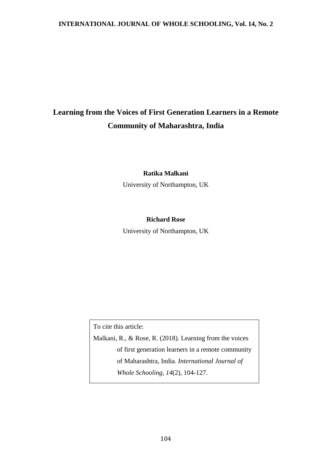# **Learning from the Voices of First Generation Learners in a Remote Community of Maharashtra, India**

## **Ratika Malkani**

University of Northampton, UK

# **Richard Rose**

University of Northampton, UK

To cite this article:

Malkani, R., & Rose, R. (2018). Learning from the voices of first generation learners in a remote community of Maharashtra, India. *International Journal of Whole Schooling, 14*(2), 104-127.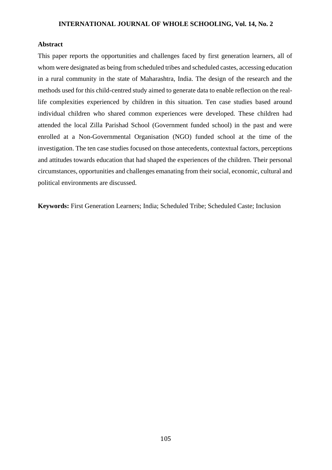## **Abstract**

This paper reports the opportunities and challenges faced by first generation learners, all of whom were designated as being from scheduled tribes and scheduled castes, accessing education in a rural community in the state of Maharashtra, India. The design of the research and the methods used for this child-centred study aimed to generate data to enable reflection on the reallife complexities experienced by children in this situation. Ten case studies based around individual children who shared common experiences were developed. These children had attended the local Zilla Parishad School (Government funded school) in the past and were enrolled at a Non-Governmental Organisation (NGO) funded school at the time of the investigation. The ten case studies focused on those antecedents, contextual factors, perceptions and attitudes towards education that had shaped the experiences of the children. Their personal circumstances, opportunities and challenges emanating from their social, economic, cultural and political environments are discussed.

**Keywords:** First Generation Learners; India; Scheduled Tribe; Scheduled Caste; Inclusion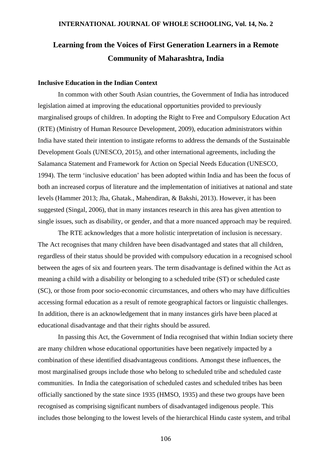# **Learning from the Voices of First Generation Learners in a Remote Community of Maharashtra, India**

# **Inclusive Education in the Indian Context**

In common with other South Asian countries, the Government of India has introduced legislation aimed at improving the educational opportunities provided to previously marginalised groups of children. In adopting the Right to Free and Compulsory Education Act (RTE) (Ministry of Human Resource Development, 2009), education administrators within India have stated their intention to instigate reforms to address the demands of the Sustainable Development Goals (UNESCO, 2015), and other international agreements, including the Salamanca Statement and Framework for Action on Special Needs Education (UNESCO, 1994). The term 'inclusive education' has been adopted within India and has been the focus of both an increased corpus of literature and the implementation of initiatives at national and state levels (Hammer 2013; Jha, Ghatak., Mahendiran, & Bakshi, 2013). However, it has been suggested (Singal, 2006), that in many instances research in this area has given attention to single issues, such as disability, or gender, and that a more nuanced approach may be required.

The RTE acknowledges that a more holistic interpretation of inclusion is necessary. The Act recognises that many children have been disadvantaged and states that all children, regardless of their status should be provided with compulsory education in a recognised school between the ages of six and fourteen years. The term disadvantage is defined within the Act as meaning a child with a disability or belonging to a scheduled tribe (ST) or scheduled caste (SC), or those from poor socio-economic circumstances, and others who may have difficulties accessing formal education as a result of remote geographical factors or linguistic challenges. In addition, there is an acknowledgement that in many instances girls have been placed at educational disadvantage and that their rights should be assured.

In passing this Act, the Government of India recognised that within Indian society there are many children whose educational opportunities have been negatively impacted by a combination of these identified disadvantageous conditions. Amongst these influences, the most marginalised groups include those who belong to scheduled tribe and scheduled caste communities. In India the categorisation of scheduled castes and scheduled tribes has been officially sanctioned by the state since 1935 (HMSO, 1935) and these two groups have been recognised as comprising significant numbers of disadvantaged indigenous people. This includes those belonging to the lowest levels of the hierarchical Hindu caste system, and tribal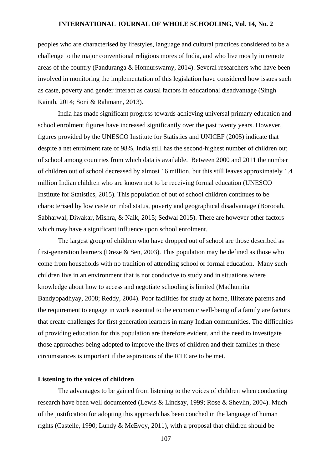peoples who are characterised by lifestyles, language and cultural practices considered to be a challenge to the major conventional religious mores of India, and who live mostly in remote areas of the country (Panduranga & Honnurswamy, 2014). Several researchers who have been involved in monitoring the implementation of this legislation have considered how issues such as caste, poverty and gender interact as causal factors in educational disadvantage (Singh Kainth, 2014; Soni & Rahmann, 2013).

India has made significant progress towards achieving universal primary education and school enrolment figures have increased significantly over the past twenty years. However, figures provided by the UNESCO Institute for Statistics and UNICEF (2005) indicate that despite a net enrolment rate of 98%, India still has the second-highest number of children out of school among countries from which data is available. Between 2000 and 2011 the number of children out of school decreased by almost 16 million, but this still leaves approximately 1.4 million Indian children who are known not to be receiving formal education (UNESCO Institute for Statistics, 2015). This population of out of school children continues to be characterised by low caste or tribal status, poverty and geographical disadvantage (Borooah, Sabharwal, Diwakar, Mishra, & Naik, 2015; Sedwal 2015). There are however other factors which may have a significant influence upon school enrolment.

The largest group of children who have dropped out of school are those described as first-generation learners (Dreze & Sen, 2003). This population may be defined as those who come from households with no tradition of attending school or formal education. Many such children live in an environment that is not conducive to study and in situations where knowledge about how to access and negotiate schooling is limited (Madhumita Bandyopadhyay, 2008; Reddy, 2004). Poor facilities for study at home, illiterate parents and the requirement to engage in work essential to the economic well-being of a family are factors that create challenges for first generation learners in many Indian communities. The difficulties of providing education for this population are therefore evident, and the need to investigate those approaches being adopted to improve the lives of children and their families in these circumstances is important if the aspirations of the RTE are to be met.

## **Listening to the voices of children**

The advantages to be gained from listening to the voices of children when conducting research have been well documented (Lewis & Lindsay, 1999; Rose & Shevlin, 2004). Much of the justification for adopting this approach has been couched in the language of human rights (Castelle, 1990; Lundy & McEvoy, 2011), with a proposal that children should be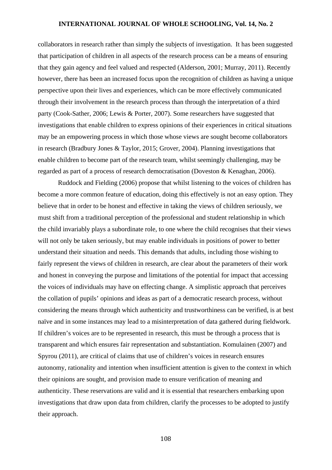collaborators in research rather than simply the subjects of investigation. It has been suggested that participation of children in all aspects of the research process can be a means of ensuring that they gain agency and feel valued and respected (Alderson, 2001; Murray, 2011). Recently however, there has been an increased focus upon the recognition of children as having a unique perspective upon their lives and experiences, which can be more effectively communicated through their involvement in the research process than through the interpretation of a third party (Cook-Sather, 2006; Lewis & Porter, 2007). Some researchers have suggested that investigations that enable children to express opinions of their experiences in critical situations may be an empowering process in which those whose views are sought become collaborators in research (Bradbury Jones & Taylor, 2015; Grover, 2004). Planning investigations that enable children to become part of the research team, whilst seemingly challenging, may be regarded as part of a process of research democratisation (Doveston & Kenaghan, 2006).

Ruddock and Fielding (2006) propose that whilst listening to the voices of children has become a more common feature of education, doing this effectively is not an easy option. They believe that in order to be honest and effective in taking the views of children seriously, we must shift from a traditional perception of the professional and student relationship in which the child invariably plays a subordinate role, to one where the child recognises that their views will not only be taken seriously, but may enable individuals in positions of power to better understand their situation and needs. This demands that adults, including those wishing to fairly represent the views of children in research, are clear about the parameters of their work and honest in conveying the purpose and limitations of the potential for impact that accessing the voices of individuals may have on effecting change. A simplistic approach that perceives the collation of pupils' opinions and ideas as part of a democratic research process, without considering the means through which authenticity and trustworthiness can be verified, is at best naïve and in some instances may lead to a misinterpretation of data gathered during fieldwork. If children's voices are to be represented in research, this must be through a process that is transparent and which ensures fair representation and substantiation. Komulainen (2007) and Spyrou (2011), are critical of claims that use of children's voices in research ensures autonomy, rationality and intention when insufficient attention is given to the context in which their opinions are sought, and provision made to ensure verification of meaning and authenticity. These reservations are valid and it is essential that researchers embarking upon investigations that draw upon data from children, clarify the processes to be adopted to justify their approach.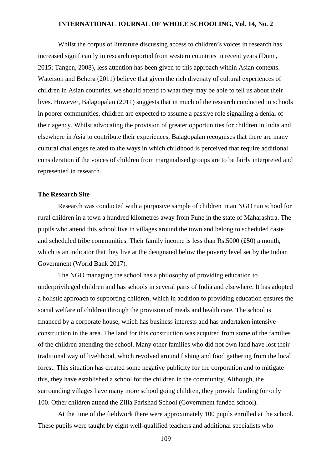Whilst the corpus of literature discussing access to children's voices in research has increased significantly in research reported from western countries in recent years (Dunn, 2015; Tangen, 2008), less attention has been given to this approach within Asian contexts. Waterson and Behera (2011) believe that given the rich diversity of cultural experiences of children in Asian countries, we should attend to what they may be able to tell us about their lives. However, Balagopalan (2011) suggests that in much of the research conducted in schools in poorer communities, children are expected to assume a passive role signalling a denial of their agency. Whilst advocating the provision of greater opportunities for children in India and elsewhere in Asia to contribute their experiences, Balagopalan recognises that there are many cultural challenges related to the ways in which childhood is perceived that require additional consideration if the voices of children from marginalised groups are to be fairly interpreted and represented in research.

#### **The Research Site**

Research was conducted with a purposive sample of children in an NGO run school for rural children in a town a hundred kilometres away from Pune in the state of Maharashtra. The pupils who attend this school live in villages around the town and belong to scheduled caste and scheduled tribe communities. Their family income is less than Rs.5000 (£50) a month, which is an indicator that they live at the designated below the poverty level set by the Indian Government (World Bank 2017).

The NGO managing the school has a philosophy of providing education to underprivileged children and has schools in several parts of India and elsewhere. It has adopted a holistic approach to supporting children, which in addition to providing education ensures the social welfare of children through the provision of meals and health care. The school is financed by a corporate house, which has business interests and has undertaken intensive construction in the area. The land for this construction was acquired from some of the families of the children attending the school. Many other families who did not own land have lost their traditional way of livelihood, which revolved around fishing and food gathering from the local forest. This situation has created some negative publicity for the corporation and to mitigate this, they have established a school for the children in the community. Although, the surrounding villages have many more school going children, they provide funding for only 100. Other children attend the Zilla Parishad School (Government funded school).

At the time of the fieldwork there were approximately 100 pupils enrolled at the school. These pupils were taught by eight well-qualified teachers and additional specialists who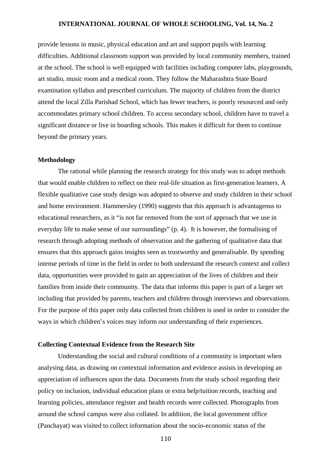provide lessons in music, physical education and art and support pupils with learning difficulties. Additional classroom support was provided by local community members, trained at the school. The school is well equipped with facilities including computer labs, playgrounds, art studio, music room and a medical room. They follow the Maharashtra State Board examination syllabus and prescribed curriculum. The majority of children from the district attend the local Zilla Parishad School, which has fewer teachers, is poorly resourced and only accommodates primary school children. To access secondary school, children have to travel a significant distance or live in boarding schools. This makes it difficult for them to continue beyond the primary years.

#### **Methodology**

The rational while planning the research strategy for this study was to adopt methods that would enable children to reflect on their real-life situation as first-generation learners. A flexible qualitative case study design was adopted to observe and study children in their school and home environment. Hammersley (1990) suggests that this approach is advantageous to educational researchers, as it "is not far removed from the sort of approach that we use in everyday life to make sense of our surroundings" (p. 4). It is however, the formalising of research through adopting methods of observation and the gathering of qualitative data that ensures that this approach gains insights seen as trustworthy and generalisable. By spending intense periods of time in the field in order to both understand the research context and collect data, opportunities were provided to gain an appreciation of the lives of children and their families from inside their community. The data that informs this paper is part of a larger set including that provided by parents, teachers and children through interviews and observations. For the purpose of this paper only data collected from children is used in order to consider the ways in which children's voices may inform our understanding of their experiences.

## **Collecting Contextual Evidence from the Research Site**

Understanding the social and cultural conditions of a community is important when analysing data, as drawing on contextual information and evidence assists in developing an appreciation of influences upon the data. Documents from the study school regarding their policy on inclusion, individual education plans or extra help/tuition records, teaching and learning policies, attendance register and health records were collected. Photographs from around the school campus were also collated. In addition, the local government office (Panchayat) was visited to collect information about the socio-economic status of the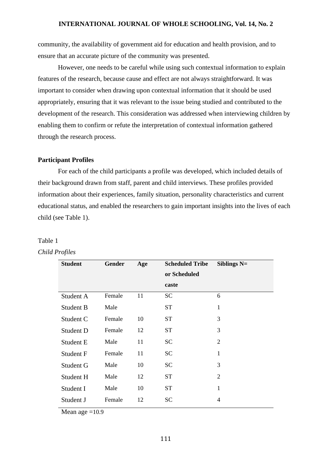community, the availability of government aid for education and health provision, and to ensure that an accurate picture of the community was presented.

However, one needs to be careful while using such contextual information to explain features of the research, because cause and effect are not always straightforward. It was important to consider when drawing upon contextual information that it should be used appropriately, ensuring that it was relevant to the issue being studied and contributed to the development of the research. This consideration was addressed when interviewing children by enabling them to confirm or refute the interpretation of contextual information gathered through the research process.

### **Participant Profiles**

For each of the child participants a profile was developed, which included details of their background drawn from staff, parent and child interviews. These profiles provided information about their experiences, family situation, personality characteristics and current educational status, and enabled the researchers to gain important insights into the lives of each child (see Table 1).

| <b>Student</b> | Gender | Age | <b>Scheduled Tribe</b><br>or Scheduled | Siblings $N=$  |
|----------------|--------|-----|----------------------------------------|----------------|
|                |        |     | caste                                  |                |
| Student A      | Female | 11  | <b>SC</b>                              | 6              |
| Student B      | Male   |     | <b>ST</b>                              | $\mathbf{1}$   |
| Student C      | Female | 10  | <b>ST</b>                              | 3              |
| Student D      | Female | 12  | <b>ST</b>                              | 3              |
| Student E      | Male   | 11  | <b>SC</b>                              | $\overline{2}$ |
| Student F      | Female | 11  | <b>SC</b>                              | $\mathbf{1}$   |
| Student G      | Male   | 10  | <b>SC</b>                              | 3              |
| Student H      | Male   | 12  | <b>ST</b>                              | $\overline{2}$ |
| Student I      | Male   | 10  | <b>ST</b>                              | $\mathbf{1}$   |
| Student J      | Female | 12  | <b>SC</b>                              | 4              |

# Table 1

# *Child Profiles*

Mean age  $=10.9$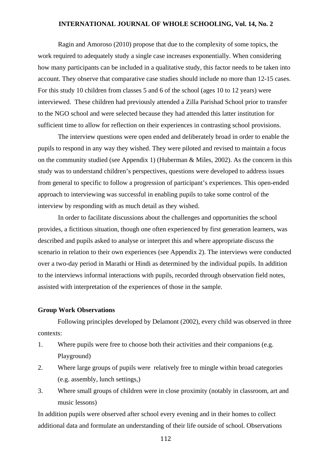Ragin and Amoroso (2010) propose that due to the complexity of some topics, the work required to adequately study a single case increases exponentially. When considering how many participants can be included in a qualitative study, this factor needs to be taken into account. They observe that comparative case studies should include no more than 12-15 cases. For this study 10 children from classes 5 and 6 of the school (ages 10 to 12 years) were interviewed. These children had previously attended a Zilla Parishad School prior to transfer to the NGO school and were selected because they had attended this latter institution for sufficient time to allow for reflection on their experiences in contrasting school provisions.

The interview questions were open ended and deliberately broad in order to enable the pupils to respond in any way they wished. They were piloted and revised to maintain a focus on the community studied (see Appendix 1) (Huberman & Miles, 2002). As the concern in this study was to understand children's perspectives, questions were developed to address issues from general to specific to follow a progression of participant's experiences. This open-ended approach to interviewing was successful in enabling pupils to take some control of the interview by responding with as much detail as they wished.

In order to facilitate discussions about the challenges and opportunities the school provides, a fictitious situation, though one often experienced by first generation learners, was described and pupils asked to analyse or interpret this and where appropriate discuss the scenario in relation to their own experiences (see Appendix 2). The interviews were conducted over a two-day period in Marathi or Hindi as determined by the individual pupils. In addition to the interviews informal interactions with pupils, recorded through observation field notes, assisted with interpretation of the experiences of those in the sample.

#### **Group Work Observations**

Following principles developed by Delamont (2002), every child was observed in three contexts:

- 1. Where pupils were free to choose both their activities and their companions (e.g. Playground)
- 2. Where large groups of pupils were relatively free to mingle within broad categories (e.g. assembly, lunch settings,)
- 3. Where small groups of children were in close proximity (notably in classroom, art and music lessons)

In addition pupils were observed after school every evening and in their homes to collect additional data and formulate an understanding of their life outside of school. Observations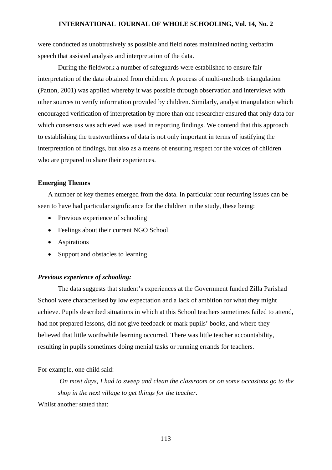were conducted as unobtrusively as possible and field notes maintained noting verbatim speech that assisted analysis and interpretation of the data.

During the fieldwork a number of safeguards were established to ensure fair interpretation of the data obtained from children. A process of multi-methods triangulation (Patton, 2001) was applied whereby it was possible through observation and interviews with other sources to verify information provided by children. Similarly, analyst triangulation which encouraged verification of interpretation by more than one researcher ensured that only data for which consensus was achieved was used in reporting findings. We contend that this approach to establishing the trustworthiness of data is not only important in terms of justifying the interpretation of findings, but also as a means of ensuring respect for the voices of children who are prepared to share their experiences.

#### **Emerging Themes**

A number of key themes emerged from the data. In particular four recurring issues can be seen to have had particular significance for the children in the study, these being:

- Previous experience of schooling
- Feelings about their current NGO School
- Aspirations
- Support and obstacles to learning

#### *Previous experience of schooling:*

The data suggests that student's experiences at the Government funded Zilla Parishad School were characterised by low expectation and a lack of ambition for what they might achieve. Pupils described situations in which at this School teachers sometimes failed to attend, had not prepared lessons, did not give feedback or mark pupils' books, and where they believed that little worthwhile learning occurred. There was little teacher accountability, resulting in pupils sometimes doing menial tasks or running errands for teachers.

## For example, one child said:

*On most days, I had to sweep and clean the classroom or on some occasions go to the shop in the next village to get things for the teacher.* Whilst another stated that: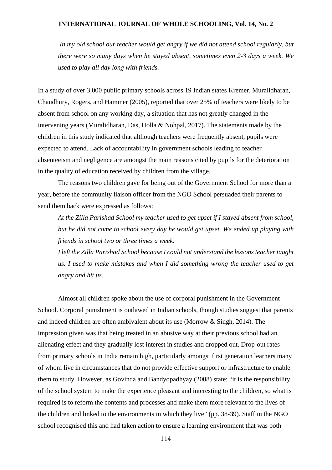*In my old school our teacher would get angry if we did not attend school regularly, but there were so many days when he stayed absent, sometimes even 2-3 days a week. We used to play all day long with friends.* 

In a study of over 3,000 public primary schools across 19 Indian states Kremer, Muralidharan, Chaudhury, Rogers, and Hammer (2005), reported that over 25% of teachers were likely to be absent from school on any working day, a situation that has not greatly changed in the intervening years (Muralidharan, Das, Holla & Nohpal, 2017). The statements made by the children in this study indicated that although teachers were frequently absent, pupils were expected to attend. Lack of accountability in government schools leading to teacher absenteeism and negligence are amongst the main reasons cited by pupils for the deterioration in the quality of education received by children from the village.

The reasons two children gave for being out of the Government School for more than a year, before the community liaison officer from the NGO School persuaded their parents to send them back were expressed as follows:

*At the Zilla Parishad School my teacher used to get upset if I stayed absent from school, but he did not come to school every day he would get upset. We ended up playing with friends in school two or three times a week.*

*I left the Zilla Parishad School because I could not understand the lessons teacher taught us. I used to make mistakes and when I did something wrong the teacher used to get angry and hit us.*

Almost all children spoke about the use of corporal punishment in the Government School. Corporal punishment is outlawed in Indian schools, though studies suggest that parents and indeed children are often ambivalent about its use (Morrow & Singh, 2014). The impression given was that being treated in an abusive way at their previous school had an alienating effect and they gradually lost interest in studies and dropped out. Drop-out rates from primary schools in India remain high, particularly amongst first generation learners many of whom live in circumstances that do not provide effective support or infrastructure to enable them to study. However, as Govinda and Bandyopadhyay (2008) state; "it is the responsibility of the school system to make the experience pleasant and interesting to the children, so what is required is to reform the contents and processes and make them more relevant to the lives of the children and linked to the environments in which they live" (pp. 38-39). Staff in the NGO school recognised this and had taken action to ensure a learning environment that was both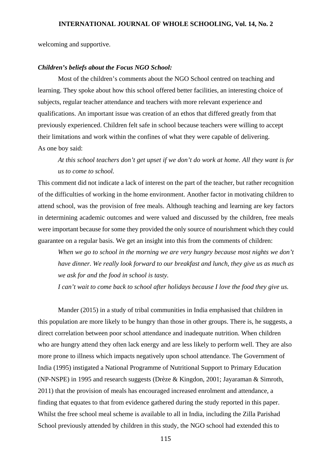welcoming and supportive.

#### *Children's beliefs about the Focus NGO School:*

Most of the children's comments about the NGO School centred on teaching and learning. They spoke about how this school offered better facilities, an interesting choice of subjects, regular teacher attendance and teachers with more relevant experience and qualifications. An important issue was creation of an ethos that differed greatly from that previously experienced. Children felt safe in school because teachers were willing to accept their limitations and work within the confines of what they were capable of delivering. As one boy said:

*At this school teachers don't get upset if we don't do work at home. All they want is for us to come to school.* 

This comment did not indicate a lack of interest on the part of the teacher, but rather recognition of the difficulties of working in the home environment. Another factor in motivating children to attend school, was the provision of free meals. Although teaching and learning are key factors in determining academic outcomes and were valued and discussed by the children, free meals were important because for some they provided the only source of nourishment which they could guarantee on a regular basis. We get an insight into this from the comments of children:

*When we go to school in the morning we are very hungry because most nights we don't have dinner. We really look forward to our breakfast and lunch, they give us as much as we ask for and the food in school is tasty.*

*I can't wait to come back to school after holidays because I love the food they give us.*

Mander (2015) in a study of tribal communities in India emphasised that children in this population are more likely to be hungry than those in other groups. There is, he suggests, a direct correlation between poor school attendance and inadequate nutrition. When children who are hungry attend they often lack energy and are less likely to perform well. They are also more prone to illness which impacts negatively upon school attendance. The Government of India (1995) instigated a National Programme of Nutritional Support to Primary Education (NP-NSPE) in 1995 and research suggests (Drèze & Kingdon, 2001; Jayaraman & Simroth, 2011) that the provision of meals has encouraged increased enrolment and attendance, a finding that equates to that from evidence gathered during the study reported in this paper. Whilst the free school meal scheme is available to all in India, including the Zilla Parishad School previously attended by children in this study, the NGO school had extended this to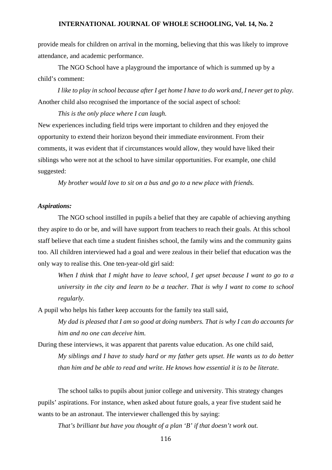provide meals for children on arrival in the morning, believing that this was likely to improve attendance, and academic performance.

The NGO School have a playground the importance of which is summed up by a child's comment:

*I like to play in school because after I get home I have to do work and, I never get to play.* Another child also recognised the importance of the social aspect of school:

*This is the only place where I can laugh.*

New experiences including field trips were important to children and they enjoyed the opportunity to extend their horizon beyond their immediate environment. From their comments, it was evident that if circumstances would allow, they would have liked their siblings who were not at the school to have similar opportunities. For example, one child suggested:

*My brother would love to sit on a bus and go to a new place with friends.*

## *Aspirations:*

The NGO school instilled in pupils a belief that they are capable of achieving anything they aspire to do or be, and will have support from teachers to reach their goals. At this school staff believe that each time a student finishes school, the family wins and the community gains too. All children interviewed had a goal and were zealous in their belief that education was the only way to realise this. One ten-year-old girl said:

*When I think that I might have to leave school, I get upset because I want to go to a university in the city and learn to be a teacher. That is why I want to come to school regularly.* 

A pupil who helps his father keep accounts for the family tea stall said,

*My dad is pleased that I am so good at doing numbers. That is why I can do accounts for him and no one can deceive him.*

During these interviews, it was apparent that parents value education. As one child said, *My siblings and I have to study hard or my father gets upset. He wants us to do better than him and be able to read and write. He knows how essential it is to be literate.*

The school talks to pupils about junior college and university. This strategy changes pupils' aspirations. For instance, when asked about future goals, a year five student said he wants to be an astronaut. The interviewer challenged this by saying:

*That's brilliant but have you thought of a plan 'B' if that doesn't work out.*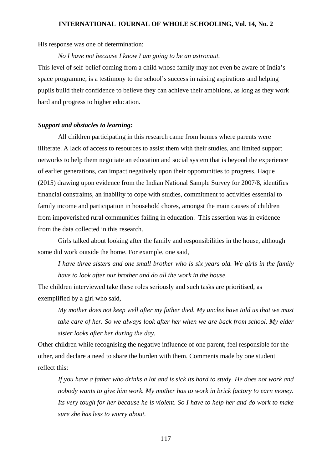His response was one of determination:

*No I have not because I know I am going to be an astronaut.* 

This level of self-belief coming from a child whose family may not even be aware of India's space programme, is a testimony to the school's success in raising aspirations and helping pupils build their confidence to believe they can achieve their ambitions, as long as they work hard and progress to higher education.

#### *Support and obstacles to learning:*

All children participating in this research came from homes where parents were illiterate. A lack of access to resources to assist them with their studies, and limited support networks to help them negotiate an education and social system that is beyond the experience of earlier generations, can impact negatively upon their opportunities to progress. Haque (2015) drawing upon evidence from the Indian National Sample Survey for 2007/8, identifies financial constraints, an inability to cope with studies, commitment to activities essential to family income and participation in household chores, amongst the main causes of children from impoverished rural communities failing in education. This assertion was in evidence from the data collected in this research.

Girls talked about looking after the family and responsibilities in the house, although some did work outside the home. For example, one said,

*I have three sisters and one small brother who is six years old. We girls in the family have to look after our brother and do all the work in the house.* 

The children interviewed take these roles seriously and such tasks are prioritised, as exemplified by a girl who said,

*My mother does not keep well after my father died. My uncles have told us that we must take care of her. So we always look after her when we are back from school. My elder sister looks after her during the day.*

Other children while recognising the negative influence of one parent, feel responsible for the other, and declare a need to share the burden with them. Comments made by one student reflect this:

*If you have a father who drinks a lot and is sick its hard to study. He does not work and nobody wants to give him work. My mother has to work in brick factory to earn money. Its very tough for her because he is violent. So I have to help her and do work to make sure she has less to worry about.*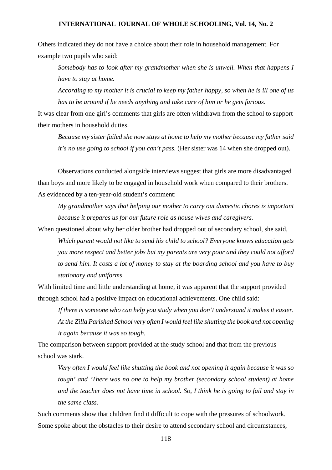Others indicated they do not have a choice about their role in household management. For example two pupils who said:

*Somebody has to look after my grandmother when she is unwell. When that happens I have to stay at home.*

*According to my mother it is crucial to keep my father happy, so when he is ill one of us has to be around if he needs anything and take care of him or he gets furious.*

It was clear from one girl's comments that girls are often withdrawn from the school to support their mothers in household duties.

*Because my sister failed she now stays at home to help my mother because my father said it's no use going to school if you can't pass.* (Her sister was 14 when she dropped out).

Observations conducted alongside interviews suggest that girls are more disadvantaged than boys and more likely to be engaged in household work when compared to their brothers. As evidenced by a ten-year-old student's comment:

*My grandmother says that helping our mother to carry out domestic chores is important because it prepares us for our future role as house wives and caregivers.*

When questioned about why her older brother had dropped out of secondary school, she said, *Which parent would not like to send his child to school? Everyone knows education gets you more respect and better jobs but my parents are very poor and they could not afford to send him. It costs a lot of money to stay at the boarding school and you have to buy stationary and uniforms.* 

With limited time and little understanding at home, it was apparent that the support provided through school had a positive impact on educational achievements. One child said:

*If there is someone who can help you study when you don't understand it makes it easier. At the Zilla Parishad School very often I would feel like shutting the book and not opening it again because it was so tough.*

The comparison between support provided at the study school and that from the previous school was stark.

*Very often I would feel like shutting the book and not opening it again because it was so tough' and 'There was no one to help my brother (secondary school student) at home and the teacher does not have time in school. So, I think he is going to fail and stay in the same class.*

Such comments show that children find it difficult to cope with the pressures of schoolwork. Some spoke about the obstacles to their desire to attend secondary school and circumstances,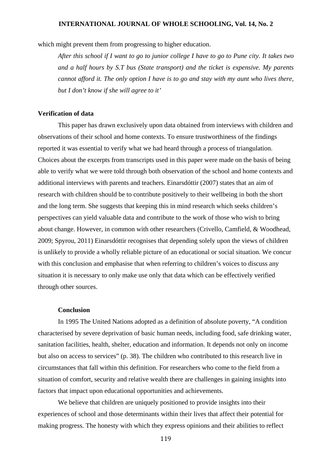which might prevent them from progressing to higher education.

*After this school if I want to go to junior college I have to go to Pune city. It takes two and a half hours by S.T bus (State transport) and the ticket is expensive. My parents cannot afford it. The only option I have is to go and stay with my aunt who lives there, but I don't know if she will agree to it'*

## **Verification of data**

This paper has drawn exclusively upon data obtained from interviews with children and observations of their school and home contexts. To ensure trustworthiness of the findings reported it was essential to verify what we had heard through a process of triangulation. Choices about the excerpts from transcripts used in this paper were made on the basis of being able to verify what we were told through both observation of the school and home contexts and additional interviews with parents and teachers. Einarsdóttir (2007) states that an aim of research with children should be to contribute positively to their wellbeing in both the short and the long term. She suggests that keeping this in mind research which seeks children's perspectives can yield valuable data and contribute to the work of those who wish to bring about change. However, in common with other researchers (Crivello, Camfield, & Woodhead, 2009; Spyrou, 2011) Einarsdóttir recognises that depending solely upon the views of children is unlikely to provide a wholly reliable picture of an educational or social situation. We concur with this conclusion and emphasise that when referring to children's voices to discuss any situation it is necessary to only make use only that data which can be effectively verified through other sources.

#### **Conclusion**

In 1995 The United Nations adopted as a definition of absolute poverty, "A condition characterised by severe deprivation of basic human needs, including food, safe drinking water, sanitation facilities, health, shelter, education and information. It depends not only on income but also on access to services" (p. 38). The children who contributed to this research live in circumstances that fall within this definition. For researchers who come to the field from a situation of comfort, security and relative wealth there are challenges in gaining insights into factors that impact upon educational opportunities and achievements.

We believe that children are uniquely positioned to provide insights into their experiences of school and those determinants within their lives that affect their potential for making progress. The honesty with which they express opinions and their abilities to reflect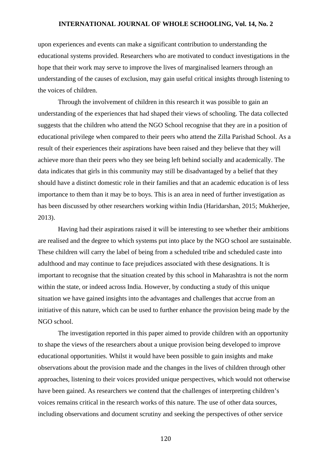upon experiences and events can make a significant contribution to understanding the educational systems provided. Researchers who are motivated to conduct investigations in the hope that their work may serve to improve the lives of marginalised learners through an understanding of the causes of exclusion, may gain useful critical insights through listening to the voices of children.

Through the involvement of children in this research it was possible to gain an understanding of the experiences that had shaped their views of schooling. The data collected suggests that the children who attend the NGO School recognise that they are in a position of educational privilege when compared to their peers who attend the Zilla Parishad School. As a result of their experiences their aspirations have been raised and they believe that they will achieve more than their peers who they see being left behind socially and academically. The data indicates that girls in this community may still be disadvantaged by a belief that they should have a distinct domestic role in their families and that an academic education is of less importance to them than it may be to boys. This is an area in need of further investigation as has been discussed by other researchers working within India (Haridarshan, 2015; Mukherjee, 2013).

Having had their aspirations raised it will be interesting to see whether their ambitions are realised and the degree to which systems put into place by the NGO school are sustainable. These children will carry the label of being from a scheduled tribe and scheduled caste into adulthood and may continue to face prejudices associated with these designations. It is important to recognise that the situation created by this school in Maharashtra is not the norm within the state, or indeed across India. However, by conducting a study of this unique situation we have gained insights into the advantages and challenges that accrue from an initiative of this nature, which can be used to further enhance the provision being made by the NGO school.

The investigation reported in this paper aimed to provide children with an opportunity to shape the views of the researchers about a unique provision being developed to improve educational opportunities. Whilst it would have been possible to gain insights and make observations about the provision made and the changes in the lives of children through other approaches, listening to their voices provided unique perspectives, which would not otherwise have been gained. As researchers we contend that the challenges of interpreting children's voices remains critical in the research works of this nature. The use of other data sources, including observations and document scrutiny and seeking the perspectives of other service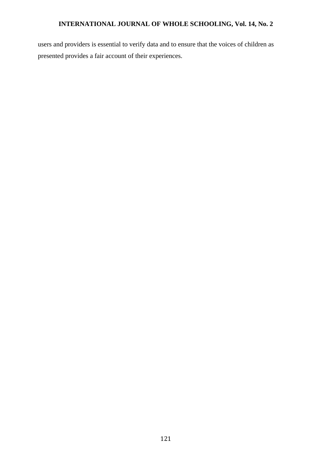users and providers is essential to verify data and to ensure that the voices of children as presented provides a fair account of their experiences.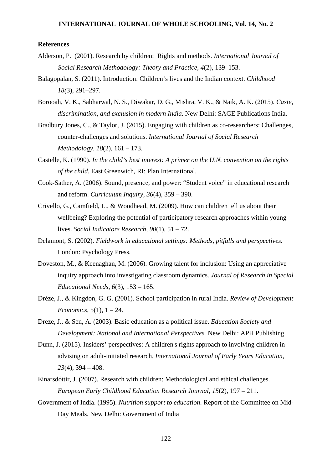#### **References**

- Alderson, P. (2001). Research by children: Rights and methods. *International Journal of Social Research Methodology: Theory and Practice, 4*(2), 139–153.
- Balagopalan, S. (2011). Introduction: Children's lives and the Indian context. *Childhood 18(*3), 291–297.
- Borooah, V. K., Sabharwal, N. S., Diwakar, D. G., Mishra, V. K., & Naik, A. K. (2015). *Caste, discrimination, and exclusion in modern India.* New Delhi: SAGE Publications India.
- Bradbury Jones, C., & Taylor, J. (2015). Engaging with children as co-researchers: Challenges, counter-challenges and solutions. *International Journal of Social Research Methodology, 18*(2), 161 – 173.
- Castelle, K. (1990). *In the child's best interest: A primer on the U.N. convention on the rights of the child.* East Greenwich, RI: Plan International.
- Cook-Sather, A. (2006). Sound, presence, and power: "Student voice" in educational research and reform. *Curriculum Inquiry, 36*(4), 359 – 390.
- Crivello, G., Camfield, L., & Woodhead, M. (2009). How can children tell us about their wellbeing? Exploring the potential of participatory research approaches within young lives. *Social Indicators Research, 90*(1), 51 – 72.
- Delamont, S. (2002). *Fieldwork in educational settings: Methods, pitfalls and perspectives.* London: Psychology Press.
- Doveston, M., & Keenaghan, M. (2006). Growing talent for inclusion: Using an appreciative inquiry approach into investigating classroom dynamics. *Journal of Research in Special Educational Needs, 6*(3), 153 – 165.
- Drèze, J., & Kingdon, G. G. (2001). School participation in rural India. *Review of Development Economics,* 5(1), 1 – 24.
- Dreze, J., & Sen, A. (2003). Basic education as a political issue. *Education Society and Development: National and International Perspectives.* New Delhi: APH Publishing
- Dunn, J. (2015). Insiders' perspectives: A children's rights approach to involving children in advising on adult-initiated research. *International Journal of Early Years Education, 23*(4), 394 – 408.
- Einarsdóttir, J. (2007). Research with children: Methodological and ethical challenges. *European Early Childhood Education Research Journal, 15*(2), 197 – 211.
- Government of India. (1995). *Nutrition support to education*. Report of the Committee on Mid-Day Meals. New Delhi: Government of India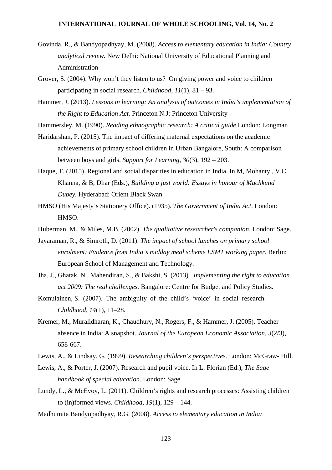- Govinda, R., & Bandyopadhyay, M. (2008). *Access to elementary education in India: Country analytical review.* New Delhi: National University of Educational Planning and Administration
- Grover, S. (2004). Why won't they listen to us? On giving power and voice to children participating in social research. *Childhood*, *11*(1), 81 – 93.
- Hammer, J. (2013). *Lessons in learning: An analysis of outcomes in India's implementation of the Right to Education Act.* Princeton N.J: Princeton University

Hammersley, M. (1990). *Reading ethnographic research: A critical guide* London: Longman

- Haridarshan, P. (2015). The impact of differing maternal expectations on the academic achievements of primary school children in Urban Bangalore, South: A comparison between boys and girls. *Support for Learning, 30*(3), 192 – 203.
- Haque, T. (2015). Regional and social disparities in education in India. In M, Mohanty., V.C. Khanna, & B, Dhar (Eds.), *Building a just world: Essays in honour of Muchkund Dubey.* Hyderabad: Orient Black Swan
- HMSO (His Majesty's Stationery Office). (1935). *The Government of India Act*. London: HMSO.
- Huberman, M., & Miles, M.B. (2002). *The qualitative researcher's companion*. London: Sage.
- Jayaraman, R., & Simroth, D. (2011). *The impact of school lunches on primary school enrolment: Evidence from India's midday meal scheme ESMT working paper.* Berlin: European School of Management and Technology.
- Jha, J., Ghatak, N., Mahendiran, S., & Bakshi, S. (2013). *Implementing the right to education act 2009: The real challenges.* Bangalore: Centre for Budget and Policy Studies.
- Komulainen, S. (2007). The ambiguity of the child's 'voice' in social research. *Childhood, 14*(1), 11–28.
- Kremer, M., Muralidharan, K., Chaudhury, N., Rogers, F., & Hammer, J. (2005). Teacher absence in India: A snapshot. *Journal of the European Economic Association, 3*(2/3), 658-667.
- Lewis, A., & Lindsay, G. (1999). *Researching children's perspectives.* London: McGraw- Hill.
- Lewis, A., & Porter, J. (2007). Research and pupil voice. In L. Florian (Ed.), *The Sage handbook of special education.* London: Sage.
- Lundy, L., & McEvoy, L. (2011). Children's rights and research processes: Assisting children to (in)formed views. *Childhood, 19*(1), 129 – 144.
- Madhumita Bandyopadhyay, R.G. (2008). *Access to elementary education in India:*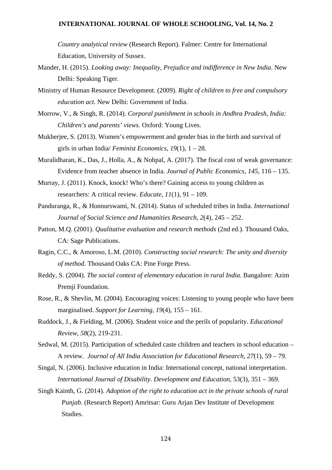*Country analytical review* (Research Report). Falmer: Centre for International Education, University of Sussex.

- Mander, H. (2015). *Looking away: Inequality, Prejudice and indifference in New India*. New Delhi: Speaking Tiger.
- Ministry of Human Resource Development. (2009). *Right of children to free and compulsory education act.* New Delhi: Government of India.
- Morrow, V., & Singh, R. (2014). *Corporal punishment in schools in Andhra Pradesh, India: Children's and parents' views.* Oxford: Young Lives.
- Mukherjee, S. (2013). Women's empowerment and gender bias in the birth and survival of girls in urban India/ *Feminist Economics, 19*(1), 1 – 28.
- Muralidharan, K., Das, J., Holla, A., & Nohpal, A. (2017). The fiscal cost of weak governance: Evidence from teacher absence in India. *Journal of Public Economics*, *145*, 116 – 135.
- Murray, J. (2011). Knock, knock! Who's there? Gaining access to young children as researchers: A critical review. *Educate, 11*(1), 91 – 109.
- Panduranga, R., & Honnurswami, N. (2014). Status of scheduled tribes in India. *International Journal of Social Science and Humanities Research, 2*(4), 245 – 252.
- Patton, M.Q. (2001). *Qualitative evaluation and research methods* (2nd ed.). Thousand Oaks, CA: Sage Publications.
- Ragin, C.C., & Amoroso, L.M. (2010). *Constructing social research: The unity and diversity of method.* Thousand Oaks CA: Pine Forge Press.
- Reddy, S. (2004). *The social context of elementary education in rural India*. Bangalore: Azim Premji Foundation.
- Rose, R., & Shevlin, M. (2004). Encouraging voices: Listening to young people who have been marginalised. *Support for Learning, 19*(4), 155 – 161.
- Ruddock, J., & Fielding, M. (2006). Student voice and the perils of popularity. *Educational Review*, *58*(2), 219-231.
- Sedwal, M. (2015). Participation of scheduled caste children and teachers in school education A review. *Journal of All India Association for Educational Research*, *27*(1), 59 – 79.
- Singal, N. (2006). Inclusive education in India: International concept, national interpretation. *International Journal of Disability. Development and Education,* 53(3), 351 – 369.
- Singh Kainth, G. (2014). *Adoption of the right to education act in the private schools of rural Punjab.* (Research Report) Amritsar: Guru Arjan Dev Institute of Development Studies.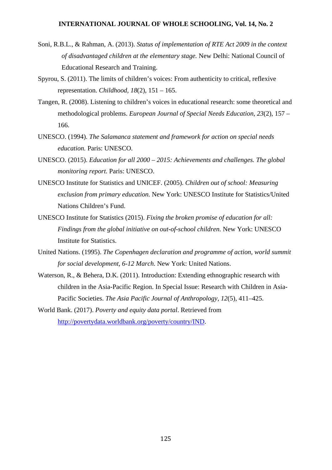- Soni, R.B.L., & Rahman, A. (2013). *Status of implementation of RTE Act 2009 in the context of disadvantaged children at the elementary stage.* New Delhi: National Council of Educational Research and Training.
- Spyrou, S. (2011). The limits of children's voices: From authenticity to critical, reflexive representation. *Childhood, 18*(2), 151 – 165.
- Tangen, R. (2008). Listening to children's voices in educational research: some theoretical and methodological problems. *European Journal of Special Needs Education, 23*(2), 157 – 166.
- UNESCO. (1994). *The Salamanca statement and framework for action on special needs education.* Paris: UNESCO.
- UNESCO. (2015). *Education for all 2000 – 2015: Achievements and challenges. The global monitoring report.* Paris: UNESCO.
- UNESCO Institute for Statistics and UNICEF. (2005). *Children out of school: Measuring exclusion from primary education.* New York: UNESCO Institute for Statistics/United Nations Children's Fund.
- UNESCO Institute for Statistics (2015). *Fixing the broken promise of education for all: Findings from the global initiative on out-of-school children.* New York: UNESCO Institute for Statistics.
- United Nations. (1995). *The Copenhagen declaration and programme of action, world summit for social development, 6-12 March*. New York: United Nations.
- Waterson, R., & Behera, D.K. (2011). Introduction: Extending ethnographic research with children in the Asia-Pacific Region. In Special Issue: Research with Children in Asia-Pacific Societies. *The Asia Pacific Journal of Anthropology, 12*(5), 411–425.
- World Bank. (2017). *Poverty and equity data portal*. Retrieved from [http://povertydata.worldbank.org/poverty/country/IND.](http://povertydata.worldbank.org/poverty/country/IND)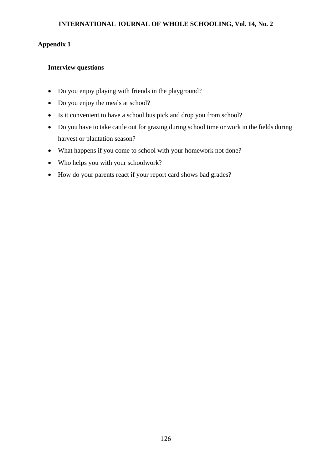# **Appendix 1**

# **Interview questions**

- Do you enjoy playing with friends in the playground?
- Do you enjoy the meals at school?
- Is it convenient to have a school bus pick and drop you from school?
- Do you have to take cattle out for grazing during school time or work in the fields during harvest or plantation season?
- What happens if you come to school with your homework not done?
- Who helps you with your schoolwork?
- How do your parents react if your report card shows bad grades?